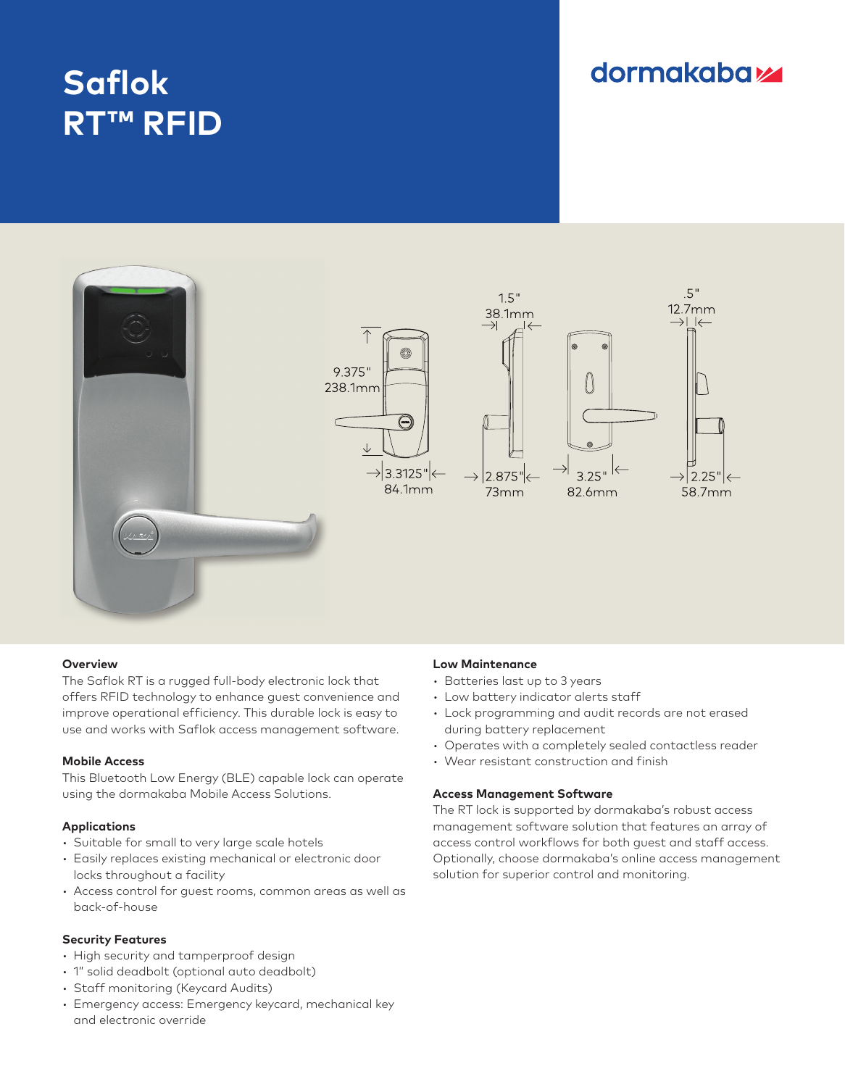# **Saflok RT™ RFID**

## **dormakabazz**



#### **Overview**

The Saflok RT is a rugged full-body electronic lock that offers RFID technology to enhance guest convenience and improve operational efficiency. This durable lock is easy to use and works with Saflok access management software.

#### **Mobile Access**

This Bluetooth Low Energy (BLE) capable lock can operate using the dormakaba Mobile Access Solutions.

#### **Applications**

- Suitable for small to very large scale hotels
- Easily replaces existing mechanical or electronic door locks throughout a facility
- Access control for guest rooms, common areas as well as back-of-house

#### **Security Features**

- High security and tamperproof design
- 1" solid deadbolt (optional auto deadbolt)
- Staff monitoring (Keycard Audits)
- Emergency access: Emergency keycard, mechanical key and electronic override

### **Low Maintenance**

- Batteries last up to 3 years
- Low battery indicator alerts staff
- Lock programming and audit records are not erased during battery replacement
- Operates with a completely sealed contactless reader
- Wear resistant construction and finish

#### **Access Management Software**

The RT lock is supported by dormakaba's robust access management software solution that features an array of access control workflows for both guest and staff access. Optionally, choose dormakaba's online access management solution for superior control and monitoring.